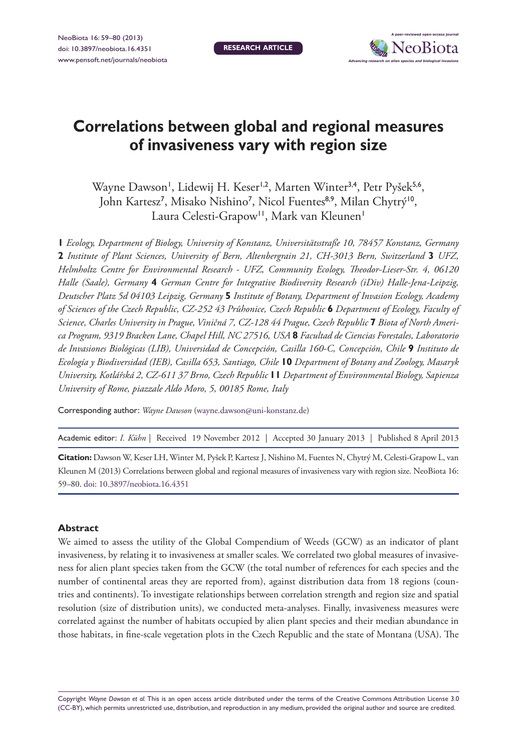

# **Correlations between global and regional measures of invasiveness vary with region size**

Wayne Dawson', Lidewij H. Keser<sup>1,2</sup>, Marten Winter<sup>3,4</sup>, Petr Pyšek<sup>5,6</sup>, John Kartesz<sup>7</sup>, Misako Nishino<sup>7</sup>, Nicol Fuentes<sup>8,9</sup>, Milan Chytrý<sup>10</sup>, Laura Celesti-Grapow<sup>11</sup>, Mark van Kleunen<sup>1</sup>

**1** *Ecology, Department of Biology, University of Konstanz, Universitätsstraße 10, 78457 Konstanz, Germany*  **2** *Institute of Plant Sciences, University of Bern, Altenbergrain 21, CH-3013 Bern, Switzerland* **3** *UFZ, Helmholtz Centre for Environmental Research - UFZ, Community Ecology, Theodor-Lieser-Str. 4, 06120 Halle (Saale), Germany* **4** *German Centre for Integrative Biodiversity Research (iDiv) Halle-Jena-Leipzig, Deutscher Platz 5d 04103 Leipzig, Germany* **5** *Institute of Botany, Department of Invasion Ecology, Academy of Sciences of the Czech Republic, CZ-252 43 Průhonice, Czech Republic* **6** *Department of Ecology, Faculty of Science, Charles University in Prague, Viničná 7, CZ-128 44 Prague, Czech Republic* **7** *Biota of North America Program, 9319 Bracken Lane, Chapel Hill, NC 27516, USA* **8** *Facultad de Ciencias Forestales, Laboratorio de Invasiones Biológicas (LIB), Universidad de Concepción, Casilla 160-C, Concepción, Chile* **9** *Instituto de Ecología y Biodiversidad (IEB), Casilla 653, Santiago, Chile* **10** *Department of Botany and Zoology, Masaryk University, Kotlářská 2, CZ-611 37 Brno, Czech Republic* **11** *Department of Environmental Biology, Sapienza University of Rome, piazzale Aldo Moro, 5, 00185 Rome, Italy*

Corresponding author: *Wayne Dawson* [\(wayne.dawson@uni-konstanz.de\)](mailo:wayne.dawson@uni-konstanz.de)

Academic editor: *I. Kühn* | Received 19 November 2012 | Accepted 30 January 2013 | Published 8 April 2013

**Citation:** Dawson W, Keser LH, Winter M, Pyšek P, Kartesz J, Nishino M, Fuentes N, Chytrý M, Celesti-Grapow L, van Kleunen M (2013) Correlations between global and regional measures of invasiveness vary with region size. NeoBiota 16: 59–80. [doi: 10.3897/neobiota.16.4351](http://dx.doi.org/10.3897/neobiota.16.4351)

### **Abstract**

We aimed to assess the utility of the Global Compendium of Weeds (GCW) as an indicator of plant invasiveness, by relating it to invasiveness at smaller scales. We correlated two global measures of invasiveness for alien plant species taken from the GCW (the total number of references for each species and the number of continental areas they are reported from), against distribution data from 18 regions (countries and continents). To investigate relationships between correlation strength and region size and spatial resolution (size of distribution units), we conducted meta-analyses. Finally, invasiveness measures were correlated against the number of habitats occupied by alien plant species and their median abundance in those habitats, in fine-scale vegetation plots in the Czech Republic and the state of Montana (USA). The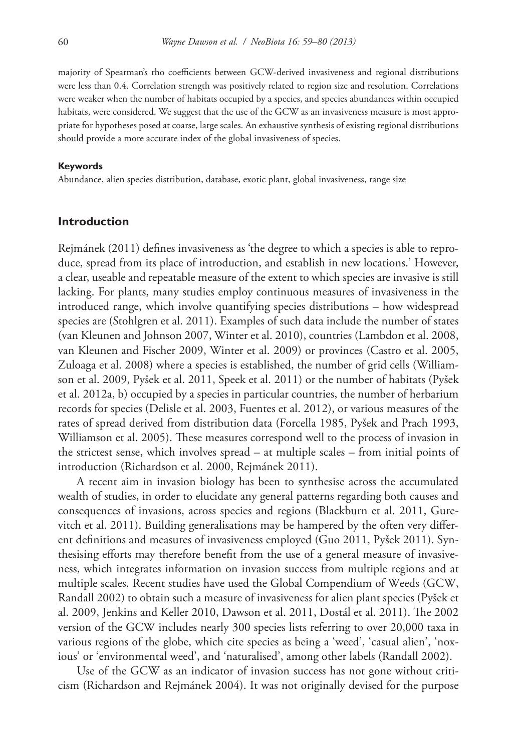majority of Spearman's rho coefficients between GCW-derived invasiveness and regional distributions were less than 0.4. Correlation strength was positively related to region size and resolution. Correlations were weaker when the number of habitats occupied by a species, and species abundances within occupied habitats, were considered. We suggest that the use of the GCW as an invasiveness measure is most appropriate for hypotheses posed at coarse, large scales. An exhaustive synthesis of existing regional distributions should provide a more accurate index of the global invasiveness of species.

#### **Keywords**

Abundance, alien species distribution, database, exotic plant, global invasiveness, range size

### **Introduction**

Rejmánek (2011) defines invasiveness as 'the degree to which a species is able to reproduce, spread from its place of introduction, and establish in new locations.' However, a clear, useable and repeatable measure of the extent to which species are invasive is still lacking. For plants, many studies employ continuous measures of invasiveness in the introduced range, which involve quantifying species distributions – how widespread species are (Stohlgren et al. 2011). Examples of such data include the number of states (van Kleunen and Johnson 2007, Winter et al. 2010), countries (Lambdon et al. 2008, van Kleunen and Fischer 2009, Winter et al. 2009) or provinces (Castro et al. 2005, Zuloaga et al. 2008) where a species is established, the number of grid cells (Williamson et al. 2009, Pyšek et al. 2011, Speek et al. 2011) or the number of habitats (Pyšek et al. 2012a, b) occupied by a species in particular countries, the number of herbarium records for species (Delisle et al. 2003, Fuentes et al. 2012), or various measures of the rates of spread derived from distribution data (Forcella 1985, Pyšek and Prach 1993, Williamson et al. 2005). These measures correspond well to the process of invasion in the strictest sense, which involves spread – at multiple scales – from initial points of introduction (Richardson et al. 2000, Rejmánek 2011).

A recent aim in invasion biology has been to synthesise across the accumulated wealth of studies, in order to elucidate any general patterns regarding both causes and consequences of invasions, across species and regions (Blackburn et al. 2011, Gurevitch et al. 2011). Building generalisations may be hampered by the often very different definitions and measures of invasiveness employed (Guo 2011, Pyšek 2011). Synthesising efforts may therefore benefit from the use of a general measure of invasiveness, which integrates information on invasion success from multiple regions and at multiple scales. Recent studies have used the Global Compendium of Weeds (GCW, Randall 2002) to obtain such a measure of invasiveness for alien plant species (Pyšek et al. 2009, Jenkins and Keller 2010, Dawson et al. 2011, Dostál et al. 2011). The 2002 version of the GCW includes nearly 300 species lists referring to over 20,000 taxa in various regions of the globe, which cite species as being a 'weed', 'casual alien', 'noxious' or 'environmental weed', and 'naturalised', among other labels (Randall 2002).

Use of the GCW as an indicator of invasion success has not gone without criticism (Richardson and Rejmánek 2004). It was not originally devised for the purpose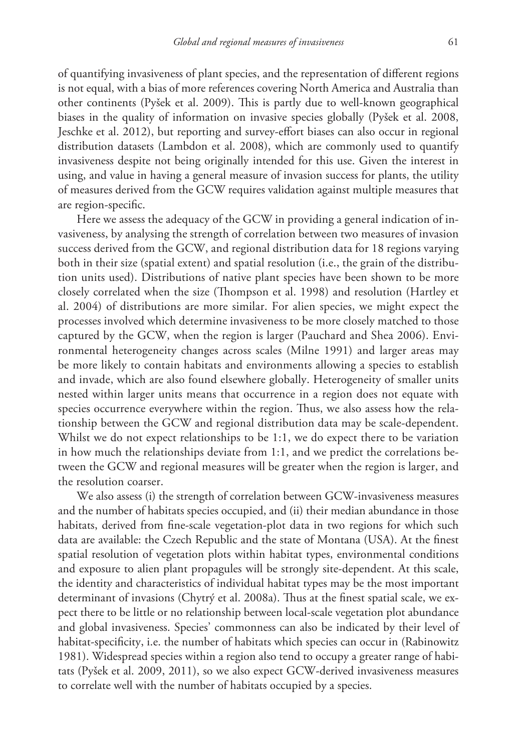of quantifying invasiveness of plant species, and the representation of different regions is not equal, with a bias of more references covering North America and Australia than other continents (Pyšek et al. 2009). This is partly due to well-known geographical biases in the quality of information on invasive species globally (Pyšek et al. 2008, Jeschke et al. 2012), but reporting and survey-effort biases can also occur in regional distribution datasets (Lambdon et al. 2008), which are commonly used to quantify invasiveness despite not being originally intended for this use. Given the interest in using, and value in having a general measure of invasion success for plants, the utility of measures derived from the GCW requires validation against multiple measures that are region-specific.

Here we assess the adequacy of the GCW in providing a general indication of invasiveness, by analysing the strength of correlation between two measures of invasion success derived from the GCW, and regional distribution data for 18 regions varying both in their size (spatial extent) and spatial resolution (i.e., the grain of the distribution units used). Distributions of native plant species have been shown to be more closely correlated when the size (Thompson et al. 1998) and resolution (Hartley et al. 2004) of distributions are more similar. For alien species, we might expect the processes involved which determine invasiveness to be more closely matched to those captured by the GCW, when the region is larger (Pauchard and Shea 2006). Environmental heterogeneity changes across scales (Milne 1991) and larger areas may be more likely to contain habitats and environments allowing a species to establish and invade, which are also found elsewhere globally. Heterogeneity of smaller units nested within larger units means that occurrence in a region does not equate with species occurrence everywhere within the region. Thus, we also assess how the relationship between the GCW and regional distribution data may be scale-dependent. Whilst we do not expect relationships to be 1:1, we do expect there to be variation in how much the relationships deviate from 1:1, and we predict the correlations between the GCW and regional measures will be greater when the region is larger, and the resolution coarser.

We also assess (i) the strength of correlation between GCW-invasiveness measures and the number of habitats species occupied, and (ii) their median abundance in those habitats, derived from fine-scale vegetation-plot data in two regions for which such data are available: the Czech Republic and the state of Montana (USA). At the finest spatial resolution of vegetation plots within habitat types, environmental conditions and exposure to alien plant propagules will be strongly site-dependent. At this scale, the identity and characteristics of individual habitat types may be the most important determinant of invasions (Chytrý et al. 2008a). Thus at the finest spatial scale, we expect there to be little or no relationship between local-scale vegetation plot abundance and global invasiveness. Species' commonness can also be indicated by their level of habitat-specificity, i.e. the number of habitats which species can occur in (Rabinowitz 1981). Widespread species within a region also tend to occupy a greater range of habitats (Pyšek et al. 2009, 2011), so we also expect GCW-derived invasiveness measures to correlate well with the number of habitats occupied by a species.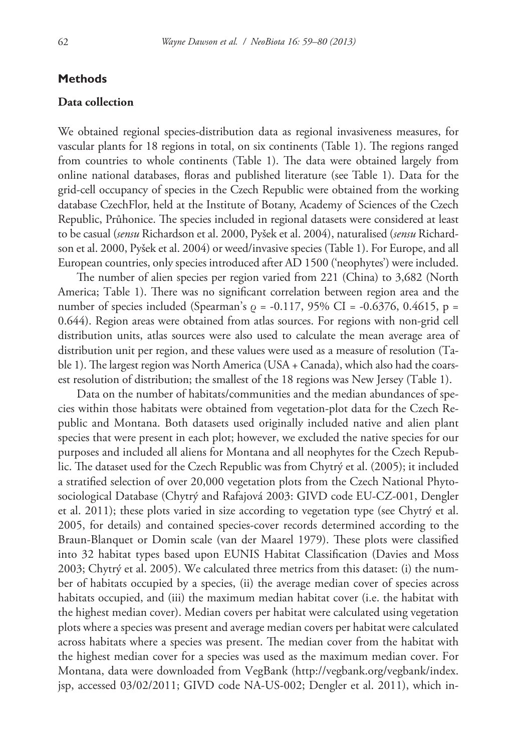### **Methods**

### **Data collection**

We obtained regional species-distribution data as regional invasiveness measures, for vascular plants for 18 regions in total, on six continents (Table 1). The regions ranged from countries to whole continents (Table 1). The data were obtained largely from online national databases, floras and published literature (see Table 1). Data for the grid-cell occupancy of species in the Czech Republic were obtained from the working database CzechFlor, held at the Institute of Botany, Academy of Sciences of the Czech Republic, Průhonice. The species included in regional datasets were considered at least to be casual (*sensu* Richardson et al. 2000, Pyšek et al. 2004), naturalised (*sensu* Richardson et al. 2000, Pyšek et al. 2004) or weed/invasive species (Table 1). For Europe, and all European countries, only species introduced after AD 1500 ('neophytes') were included.

The number of alien species per region varied from 221 (China) to 3,682 (North America; Table 1). There was no significant correlation between region area and the number of species included (Spearman's  $\rho = -0.117$ , 95% CI = -0.6376, 0.4615, p = 0.644). Region areas were obtained from atlas sources. For regions with non-grid cell distribution units, atlas sources were also used to calculate the mean average area of distribution unit per region, and these values were used as a measure of resolution (Table 1). The largest region was North America (USA + Canada), which also had the coarsest resolution of distribution; the smallest of the 18 regions was New Jersey (Table 1).

Data on the number of habitats/communities and the median abundances of species within those habitats were obtained from vegetation-plot data for the Czech Republic and Montana. Both datasets used originally included native and alien plant species that were present in each plot; however, we excluded the native species for our purposes and included all aliens for Montana and all neophytes for the Czech Republic. The dataset used for the Czech Republic was from Chytrý et al. (2005); it included a stratified selection of over 20,000 vegetation plots from the Czech National Phytosociological Database (Chytrý and Rafajová 2003: GIVD code EU-CZ-001, Dengler et al. 2011); these plots varied in size according to vegetation type (see Chytrý et al. 2005, for details) and contained species-cover records determined according to the Braun-Blanquet or Domin scale (van der Maarel 1979). These plots were classified into 32 habitat types based upon EUNIS Habitat Classification (Davies and Moss 2003; Chytrý et al. 2005). We calculated three metrics from this dataset: (i) the number of habitats occupied by a species, (ii) the average median cover of species across habitats occupied, and (iii) the maximum median habitat cover (i.e. the habitat with the highest median cover). Median covers per habitat were calculated using vegetation plots where a species was present and average median covers per habitat were calculated across habitats where a species was present. The median cover from the habitat with the highest median cover for a species was used as the maximum median cover. For Montana, data were downloaded from VegBank [\(http://vegbank.org/vegbank/index.](http://vegbank.org/vegbank/index.jsp) [jsp](http://vegbank.org/vegbank/index.jsp), accessed 03/02/2011; GIVD code NA-US-002; Dengler et al. 2011), which in-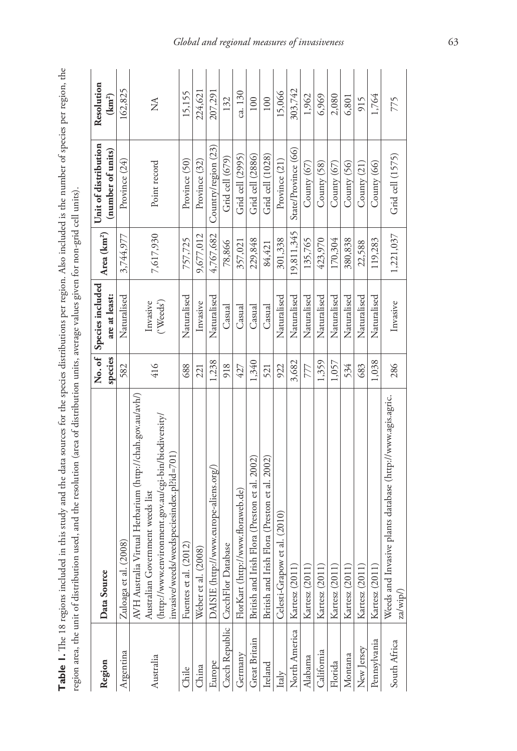| . the<br>i<br>ומ מזורת המי הר הרופה המי יופי<br>֧֧ׅ֧֧֧֧ׅ֧֧֧֧ׅ֧֧֧֚֚֚֚֚֚֚֚֚֚֚֚֚֚֚֚֚֚֚֚֚֚֚֚֚֚֚֚֚֚֚֝֝֝֝֬֝֓֝֬֜֝֬֝֝֬֜֝֬֝<br>់<br>ĺ<br>e ner remon Alco incl<br>׆<br>ל<br>i<br>Period distribution<br>b<br>forth cash for the first<br>and and date or<br>$\sim$ $\sim$ $\sim$ $\sim$ $\sim$ $\sim$<br>j<br>Ē<br>$\frac{4}{3}$<br>$\Xi$<br>ł<br>;<br>ï | .<br>.<br>.<br>.<br>$\frac{1}{2}$<br>littion little overalliter and in the for poor call<br>)<br>Saturn<br>:<br>:<br>:<br>$\frac{1}{2}$<br><br>$\sim$<br>I<br>i<br>nean and the re<br>usuu.<br>ŗ<br>j<br> |
|-------------------------------------------------------------------------------------------------------------------------------------------------------------------------------------------------------------------------------------------------------------------------------------------------------------------------------------------------|-----------------------------------------------------------------------------------------------------------------------------------------------------------------------------------------------------------|
|                                                                                                                                                                                                                                                                                                                                                 |                                                                                                                                                                                                           |
|                                                                                                                                                                                                                                                                                                                                                 |                                                                                                                                                                                                           |
|                                                                                                                                                                                                                                                                                                                                                 | $\ddot{\phantom{a}}$                                                                                                                                                                                      |

| Region        | Data Source                                                            | species | No. of Species included<br>are at least: | Area (km <sup>2</sup> ) | Unit of distribution<br>(number of units) | Resolution<br>$(\text{km}^2)$ |
|---------------|------------------------------------------------------------------------|---------|------------------------------------------|-------------------------|-------------------------------------------|-------------------------------|
| Argentina     | 2008)<br>Zuloaga et al.                                                | 582     | Naturalised                              | 3,744,977               | Province (24)                             | 162,825                       |
|               | AVH Australia Virtual Herbarium (http://chah.gov.au/avh/)              |         |                                          |                         |                                           |                               |
| Australia     | Australian Government weeds list                                       | 416     | Invasive                                 | 7,617,930               | Point record                              | ≸                             |
|               | vironment.gov.au/cgi-bin/biodiversity/<br>(http://www.en               |         | $(\text{Weeds})$                         |                         |                                           |                               |
|               | nvasive/weeds/weedspeciesindex.pl?id=701)                              |         |                                          |                         |                                           |                               |
| Chile         | Fuentes et al. (2012)                                                  | 688     | Naturalised                              | 757,725                 | Province (50)                             | 15,155                        |
| China         | Weber et al. (2008)                                                    | 221     | Invasive                                 | 9,677,012               | Province (32)                             | 224,621                       |
| Europe        | DAISIE (http://www.europe-aliens.org/)                                 | 1,238   | Naturalised                              | 4,767,682               | Country/region (23)                       | 207,291                       |
|               | Czech Republic   CzechFlor Database                                    | 918     | Casual                                   | 78,866                  | Grid cell (679)                           | 132                           |
| Germany       | FlorKart (http://www.floraweb.de)                                      | 427     | Casual                                   | 357,021                 | Grid cell (2995)                          | ca. 130                       |
| Great Britain | British and Irish Flora (Preston et al. 2002)                          | 1,340   | Casual                                   | 229,848                 | Grid cell (2886)                          | 100                           |
| Ireland       | British and Irish Flora (Preston et al. 2002)                          | 521     | Casual                                   | 84,421                  | Grid cell (1028)                          | 100                           |
| Italy         | et al. (2010)<br>Celesti-Grapow                                        | 922     | Naturalised                              | 301,338                 | Province (21)                             | 15,066                        |
| North America | Kartesz (2011)                                                         | 3,682   | Naturalised                              | 19,811,345              | State/Province (66)                       | 303,742                       |
| Alabama       | Kartesz (2011)                                                         | 777     | Naturalised                              | 135,765                 | County $(67)$                             | 1,962                         |
| California    | Kartesz (2011)                                                         | 1,359   | Naturalised                              | 423,970                 | County (58)                               | 6,969                         |
| Florida       | Kartesz (2011)                                                         | 1,057   | Naturalised                              | 170,304                 | County $(67)$                             | 2,080                         |
| Montana       | Kartesz (2011)                                                         | 534     | Naturalised                              | 380,838                 | County (56)                               | 6,801                         |
| New Jersey    | Kartesz (2011)                                                         | 683     | Naturalised                              | 22,588                  | County $(21)$                             | 915                           |
| Pennsylvania  | Kartesz (2011)                                                         | 1,038   | Naturalised                              | 119,283                 | County (66)                               | 1,764                         |
| South Africa  | Weeds and Invasive plants database (http://www.agis.agric.<br>za/wip/) | 286     | Invasive                                 | 1,221,037               | Grid cell (1575)                          | 775                           |

### *Global and regional measures of invasiveness* 63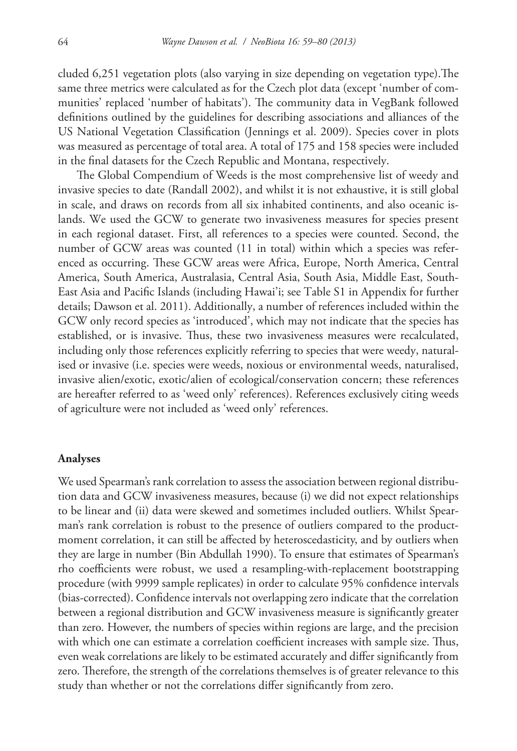cluded 6,251 vegetation plots (also varying in size depending on vegetation type).The same three metrics were calculated as for the Czech plot data (except 'number of communities' replaced 'number of habitats'). The community data in VegBank followed definitions outlined by the guidelines for describing associations and alliances of the US National Vegetation Classification (Jennings et al. 2009). Species cover in plots was measured as percentage of total area. A total of 175 and 158 species were included in the final datasets for the Czech Republic and Montana, respectively.

The Global Compendium of Weeds is the most comprehensive list of weedy and invasive species to date (Randall 2002), and whilst it is not exhaustive, it is still global in scale, and draws on records from all six inhabited continents, and also oceanic islands. We used the GCW to generate two invasiveness measures for species present in each regional dataset. First, all references to a species were counted. Second, the number of GCW areas was counted (11 in total) within which a species was referenced as occurring. These GCW areas were Africa, Europe, North America, Central America, South America, Australasia, Central Asia, South Asia, Middle East, South-East Asia and Pacific Islands (including Hawai'i; see Table S1 in Appendix for further details; Dawson et al. 2011). Additionally, a number of references included within the GCW only record species as 'introduced', which may not indicate that the species has established, or is invasive. Thus, these two invasiveness measures were recalculated, including only those references explicitly referring to species that were weedy, naturalised or invasive (i.e. species were weeds, noxious or environmental weeds, naturalised, invasive alien/exotic, exotic/alien of ecological/conservation concern; these references are hereafter referred to as 'weed only' references). References exclusively citing weeds of agriculture were not included as 'weed only' references.

#### **Analyses**

We used Spearman's rank correlation to assess the association between regional distribution data and GCW invasiveness measures, because (i) we did not expect relationships to be linear and (ii) data were skewed and sometimes included outliers. Whilst Spearman's rank correlation is robust to the presence of outliers compared to the productmoment correlation, it can still be affected by heteroscedasticity, and by outliers when they are large in number (Bin Abdullah 1990). To ensure that estimates of Spearman's rho coefficients were robust, we used a resampling-with-replacement bootstrapping procedure (with 9999 sample replicates) in order to calculate 95% confidence intervals (bias-corrected). Confidence intervals not overlapping zero indicate that the correlation between a regional distribution and GCW invasiveness measure is significantly greater than zero. However, the numbers of species within regions are large, and the precision with which one can estimate a correlation coefficient increases with sample size. Thus, even weak correlations are likely to be estimated accurately and differ significantly from zero. Therefore, the strength of the correlations themselves is of greater relevance to this study than whether or not the correlations differ significantly from zero.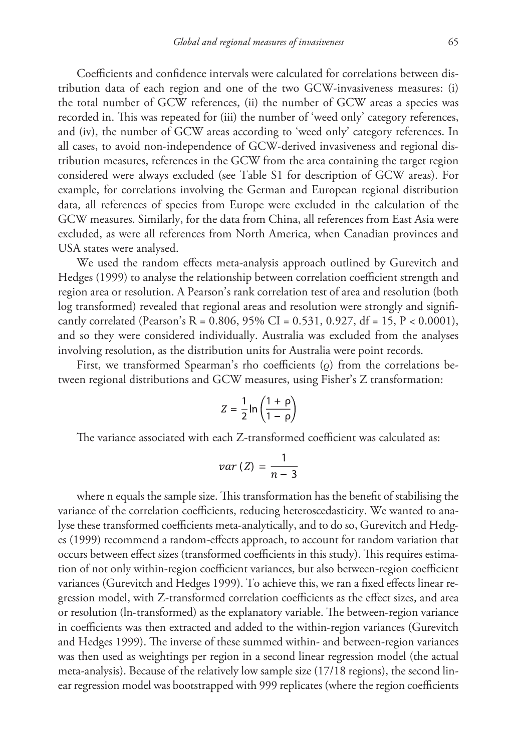Coefficients and confidence intervals were calculated for correlations between distribution data of each region and one of the two GCW-invasiveness measures: (i) the total number of GCW references, (ii) the number of GCW areas a species was recorded in. This was repeated for (iii) the number of 'weed only' category references, and (iv), the number of GCW areas according to 'weed only' category references. In all cases, to avoid non-independence of GCW-derived invasiveness and regional distribution measures, references in the GCW from the area containing the target region considered were always excluded (see Table S1 for description of GCW areas). For example, for correlations involving the German and European regional distribution data, all references of species from Europe were excluded in the calculation of the GCW measures. Similarly, for the data from China, all references from East Asia were excluded, as were all references from North America, when Canadian provinces and USA states were analysed.

We used the random effects meta-analysis approach outlined by Gurevitch and Hedges (1999) to analyse the relationship between correlation coefficient strength and region area or resolution. A Pearson's rank correlation test of area and resolution (both log transformed) revealed that regional areas and resolution were strongly and significantly correlated (Pearson's R = 0.806, 95% CI = 0.531, 0.927, df = 15, P < 0.0001), and so they were considered individually. Australia was excluded from the analyses involving resolution, as the distribution units for Australia were point records.

First, we transformed Spearman's rho coefficients (ρ) from the correlations between regional distributions and GCW measures, using Fisher's Z transformation:

$$
Z = \frac{1}{2} \ln \left( \frac{1+\rho}{1-\rho} \right)
$$

The variance associated with each Z-transformed coefficient was calculated as:

$$
var\left(Z\right)=\frac{1}{n-3}
$$

where n equals the sample size. This transformation has the benefit of stabilising the variance of the correlation coefficients, reducing heteroscedasticity. We wanted to analyse these transformed coefficients meta-analytically, and to do so, Gurevitch and Hedges (1999) recommend a random-effects approach, to account for random variation that occurs between effect sizes (transformed coefficients in this study). This requires estimation of not only within-region coefficient variances, but also between-region coefficient variances (Gurevitch and Hedges 1999). To achieve this, we ran a fixed effects linear regression model, with Z-transformed correlation coefficients as the effect sizes, and area or resolution (ln-transformed) as the explanatory variable. The between-region variance in coefficients was then extracted and added to the within-region variances (Gurevitch and Hedges 1999). The inverse of these summed within- and between-region variances was then used as weightings per region in a second linear regression model (the actual meta-analysis). Because of the relatively low sample size (17/18 regions), the second linear regression model was bootstrapped with 999 replicates (where the region coefficients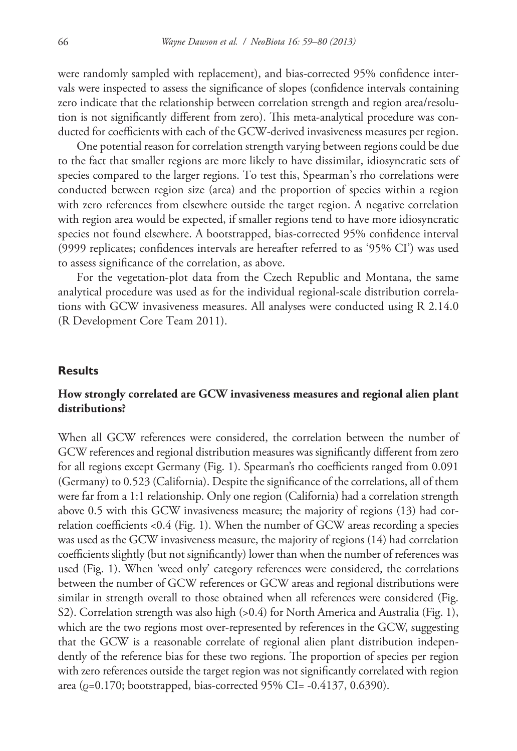were randomly sampled with replacement), and bias-corrected 95% confidence intervals were inspected to assess the significance of slopes (confidence intervals containing zero indicate that the relationship between correlation strength and region area/resolution is not significantly different from zero). This meta-analytical procedure was conducted for coefficients with each of the GCW-derived invasiveness measures per region.

One potential reason for correlation strength varying between regions could be due to the fact that smaller regions are more likely to have dissimilar, idiosyncratic sets of species compared to the larger regions. To test this, Spearman's rho correlations were conducted between region size (area) and the proportion of species within a region with zero references from elsewhere outside the target region. A negative correlation with region area would be expected, if smaller regions tend to have more idiosyncratic species not found elsewhere. A bootstrapped, bias-corrected 95% confidence interval (9999 replicates; confidences intervals are hereafter referred to as '95% CI') was used to assess significance of the correlation, as above.

For the vegetation-plot data from the Czech Republic and Montana, the same analytical procedure was used as for the individual regional-scale distribution correlations with GCW invasiveness measures. All analyses were conducted using R 2.14.0 (R Development Core Team 2011).

#### **Results**

### **How strongly correlated are GCW invasiveness measures and regional alien plant distributions?**

When all GCW references were considered, the correlation between the number of GCW references and regional distribution measures was significantly different from zero for all regions except Germany (Fig. 1). Spearman's rho coefficients ranged from 0.091 (Germany) to 0.523 (California). Despite the significance of the correlations, all of them were far from a 1:1 relationship. Only one region (California) had a correlation strength above 0.5 with this GCW invasiveness measure; the majority of regions (13) had correlation coefficients <0.4 (Fig. 1). When the number of GCW areas recording a species was used as the GCW invasiveness measure, the majority of regions (14) had correlation coefficients slightly (but not significantly) lower than when the number of references was used (Fig. 1). When 'weed only' category references were considered, the correlations between the number of GCW references or GCW areas and regional distributions were similar in strength overall to those obtained when all references were considered (Fig. S2). Correlation strength was also high (>0.4) for North America and Australia (Fig. 1), which are the two regions most over-represented by references in the GCW, suggesting that the GCW is a reasonable correlate of regional alien plant distribution independently of the reference bias for these two regions. The proportion of species per region with zero references outside the target region was not significantly correlated with region area ( $\rho$ =0.170; bootstrapped, bias-corrected 95% CI= -0.4137, 0.6390).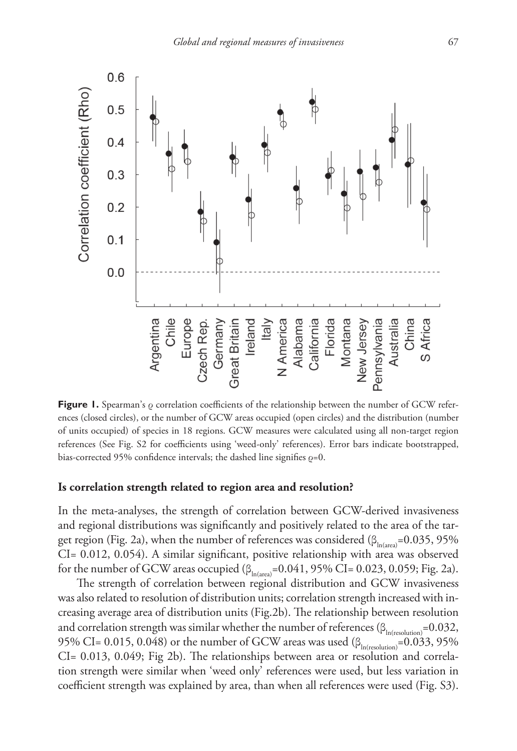

**Figure 1.** Spearman's ρ correlation coefficients of the relationship between the number of GCW references (closed circles), or the number of GCW areas occupied (open circles) and the distribution (number of units occupied) of species in 18 regions. GCW measures were calculated using all non-target region references (See Fig. S2 for coefficients using 'weed-only' references). Error bars indicate bootstrapped, bias-corrected 95% confidence intervals; the dashed line signifies  $\rho$ =0.

### **Is correlation strength related to region area and resolution?**

In the meta-analyses, the strength of correlation between GCW-derived invasiveness and regional distributions was significantly and positively related to the area of the target region (Fig. 2a), when the number of references was considered ( $\beta_{\text{in (area)}}$ =0.035, 95% CI= 0.012, 0.054). A similar significant, positive relationship with area was observed for the number of GCW areas occupied  $(\beta_{\text{In(area)}}=0.041, 95\% \text{ CI} = 0.023, 0.059; \text{Fig. 2a}).$ 

The strength of correlation between regional distribution and GCW invasiveness was also related to resolution of distribution units; correlation strength increased with increasing average area of distribution units (Fig.2b). The relationship between resolution and correlation strength was similar whether the number of references ( $\beta_{\text{In(resolution}}=0.032$ , 95% CI= 0.015, 0.048) or the number of GCW areas was used  $(\beta_{\text{In(resolution)}}=0.033, 95\%$ CI= 0.013, 0.049; Fig 2b). The relationships between area or resolution and correlation strength were similar when 'weed only' references were used, but less variation in coefficient strength was explained by area, than when all references were used (Fig. S3).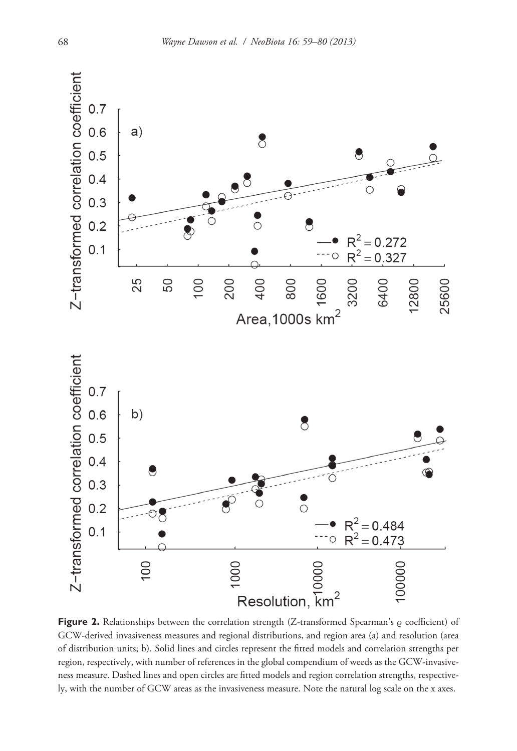

**Figure 2.** Relationships between the correlation strength (Z-transformed Spearman's ρ coefficient) of GCW-derived invasiveness measures and regional distributions, and region area (a) and resolution (area of distribution units; b). Solid lines and circles represent the fitted models and correlation strengths per region, respectively, with number of references in the global compendium of weeds as the GCW-invasiveness measure. Dashed lines and open circles are fitted models and region correlation strengths, respectively, with the number of GCW areas as the invasiveness measure. Note the natural log scale on the x axes.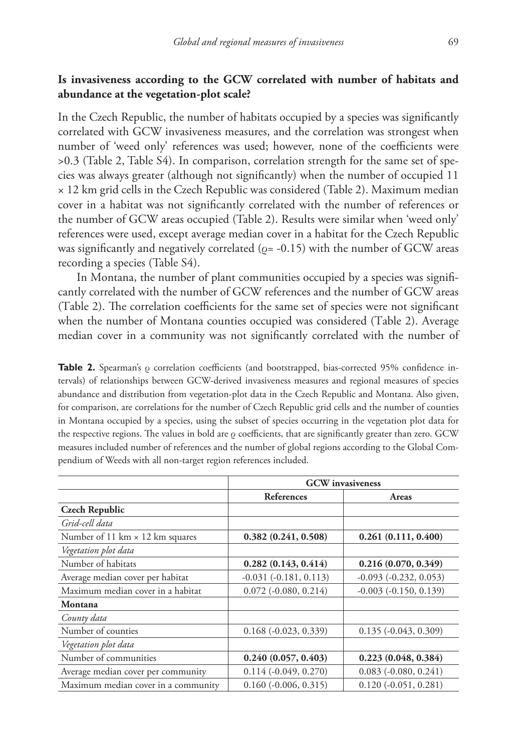### **Is invasiveness according to the GCW correlated with number of habitats and abundance at the vegetation-plot scale?**

In the Czech Republic, the number of habitats occupied by a species was significantly correlated with GCW invasiveness measures, and the correlation was strongest when number of 'weed only' references was used; however, none of the coefficients were >0.3 (Table 2, Table S4). In comparison, correlation strength for the same set of species was always greater (although not significantly) when the number of occupied 11 × 12 km grid cells in the Czech Republic was considered (Table 2). Maximum median cover in a habitat was not significantly correlated with the number of references or the number of GCW areas occupied (Table 2). Results were similar when 'weed only' references were used, except average median cover in a habitat for the Czech Republic was significantly and negatively correlated ( $\rho$ = -0.15) with the number of GCW areas recording a species (Table S4).

In Montana, the number of plant communities occupied by a species was significantly correlated with the number of GCW references and the number of GCW areas (Table 2). The correlation coefficients for the same set of species were not significant when the number of Montana counties occupied was considered (Table 2). Average median cover in a community was not significantly correlated with the number of

**Table 2.** Spearman's ρ correlation coefficients (and bootstrapped, bias-corrected 95% confidence intervals) of relationships between GCW-derived invasiveness measures and regional measures of species abundance and distribution from vegetation-plot data in the Czech Republic and Montana. Also given, for comparison, are correlations for the number of Czech Republic grid cells and the number of counties in Montana occupied by a species, using the subset of species occurring in the vegetation plot data for the respective regions. The values in bold are  $\rho$  coefficients, that are significantly greater than zero. GCW measures included number of references and the number of global regions according to the Global Compendium of Weeds with all non-target region references included.

|                                        | <b>GCW</b> invasiveness        |                                |
|----------------------------------------|--------------------------------|--------------------------------|
|                                        | <b>References</b>              | Areas                          |
| <b>Czech Republic</b>                  |                                |                                |
| Grid-cell data                         |                                |                                |
| Number of 11 km $\times$ 12 km squares | 0.382(0.241, 0.508)            | 0.261(0.111, 0.400)            |
| Vegetation plot data                   |                                |                                |
| Number of habitats                     | 0.282(0.143, 0.414)            | 0.216(0.070, 0.349)            |
| Average median cover per habitat       | $-0.031$ $(-0.181, 0.113)$     | $-0.093$ $(-0.232, 0.053)$     |
| Maximum median cover in a habitat      | $0.072$ ( $-0.080$ , $0.214$ ) | $-0.003$ $(-0.150, 0.139)$     |
| Montana                                |                                |                                |
| County data                            |                                |                                |
| Number of counties                     | $0.168(-0.023, 0.339)$         | $0.135(-0.043, 0.309)$         |
| Vegetation plot data                   |                                |                                |
| Number of communities                  | 0.240(0.057, 0.403)            | 0.223(0.048, 0.384)            |
| Average median cover per community     | $0.114(-0.049, 0.270)$         | $0.083$ ( $-0.080$ , $0.241$ ) |
| Maximum median cover in a community    | $0.160$ ( $-0.006$ , $0.315$ ) | $0.120$ ( $-0.051$ , $0.281$ ) |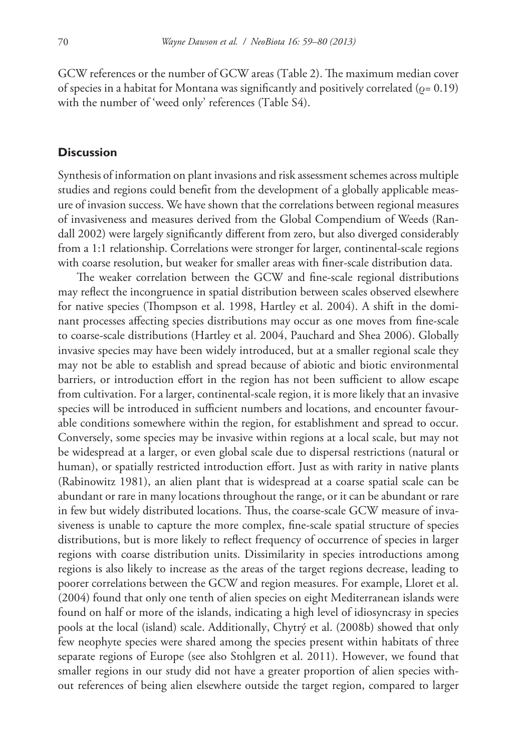GCW references or the number of GCW areas (Table 2). The maximum median cover of species in a habitat for Montana was significantly and positively correlated ( $\rho = 0.19$ ) with the number of 'weed only' references (Table S4).

### **Discussion**

Synthesis of information on plant invasions and risk assessment schemes across multiple studies and regions could benefit from the development of a globally applicable measure of invasion success. We have shown that the correlations between regional measures of invasiveness and measures derived from the Global Compendium of Weeds (Randall 2002) were largely significantly different from zero, but also diverged considerably from a 1:1 relationship. Correlations were stronger for larger, continental-scale regions with coarse resolution, but weaker for smaller areas with finer-scale distribution data.

The weaker correlation between the GCW and fine-scale regional distributions may reflect the incongruence in spatial distribution between scales observed elsewhere for native species (Thompson et al. 1998, Hartley et al. 2004). A shift in the dominant processes affecting species distributions may occur as one moves from fine-scale to coarse-scale distributions (Hartley et al. 2004, Pauchard and Shea 2006). Globally invasive species may have been widely introduced, but at a smaller regional scale they may not be able to establish and spread because of abiotic and biotic environmental barriers, or introduction effort in the region has not been sufficient to allow escape from cultivation. For a larger, continental-scale region, it is more likely that an invasive species will be introduced in sufficient numbers and locations, and encounter favourable conditions somewhere within the region, for establishment and spread to occur. Conversely, some species may be invasive within regions at a local scale, but may not be widespread at a larger, or even global scale due to dispersal restrictions (natural or human), or spatially restricted introduction effort. Just as with rarity in native plants (Rabinowitz 1981), an alien plant that is widespread at a coarse spatial scale can be abundant or rare in many locations throughout the range, or it can be abundant or rare in few but widely distributed locations. Thus, the coarse-scale GCW measure of invasiveness is unable to capture the more complex, fine-scale spatial structure of species distributions, but is more likely to reflect frequency of occurrence of species in larger regions with coarse distribution units. Dissimilarity in species introductions among regions is also likely to increase as the areas of the target regions decrease, leading to poorer correlations between the GCW and region measures. For example, Lloret et al. (2004) found that only one tenth of alien species on eight Mediterranean islands were found on half or more of the islands, indicating a high level of idiosyncrasy in species pools at the local (island) scale. Additionally, Chytrý et al. (2008b) showed that only few neophyte species were shared among the species present within habitats of three separate regions of Europe (see also Stohlgren et al. 2011). However, we found that smaller regions in our study did not have a greater proportion of alien species without references of being alien elsewhere outside the target region, compared to larger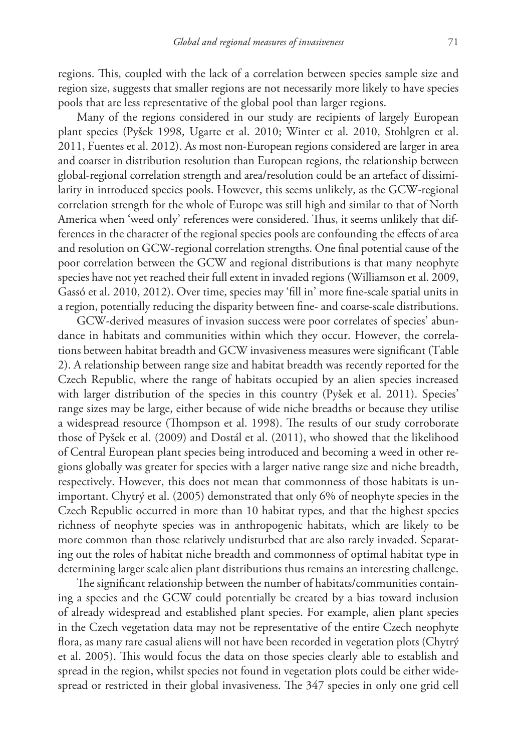regions. This, coupled with the lack of a correlation between species sample size and region size, suggests that smaller regions are not necessarily more likely to have species pools that are less representative of the global pool than larger regions.

Many of the regions considered in our study are recipients of largely European plant species (Pyšek 1998, Ugarte et al. 2010; Winter et al. 2010, Stohlgren et al. 2011, Fuentes et al. 2012). As most non-European regions considered are larger in area and coarser in distribution resolution than European regions, the relationship between global-regional correlation strength and area/resolution could be an artefact of dissimilarity in introduced species pools. However, this seems unlikely, as the GCW-regional correlation strength for the whole of Europe was still high and similar to that of North America when 'weed only' references were considered. Thus, it seems unlikely that differences in the character of the regional species pools are confounding the effects of area and resolution on GCW-regional correlation strengths. One final potential cause of the poor correlation between the GCW and regional distributions is that many neophyte species have not yet reached their full extent in invaded regions (Williamson et al. 2009, Gassó et al. 2010, 2012). Over time, species may 'fill in' more fine-scale spatial units in a region, potentially reducing the disparity between fine- and coarse-scale distributions.

GCW-derived measures of invasion success were poor correlates of species' abundance in habitats and communities within which they occur. However, the correlations between habitat breadth and GCW invasiveness measures were significant (Table 2). A relationship between range size and habitat breadth was recently reported for the Czech Republic, where the range of habitats occupied by an alien species increased with larger distribution of the species in this country (Pyšek et al. 2011). Species' range sizes may be large, either because of wide niche breadths or because they utilise a widespread resource (Thompson et al. 1998). The results of our study corroborate those of Pyšek et al. (2009) and Dostál et al. (2011), who showed that the likelihood of Central European plant species being introduced and becoming a weed in other regions globally was greater for species with a larger native range size and niche breadth, respectively. However, this does not mean that commonness of those habitats is unimportant. Chytrý et al. (2005) demonstrated that only 6% of neophyte species in the Czech Republic occurred in more than 10 habitat types, and that the highest species richness of neophyte species was in anthropogenic habitats, which are likely to be more common than those relatively undisturbed that are also rarely invaded. Separating out the roles of habitat niche breadth and commonness of optimal habitat type in determining larger scale alien plant distributions thus remains an interesting challenge.

The significant relationship between the number of habitats/communities containing a species and the GCW could potentially be created by a bias toward inclusion of already widespread and established plant species. For example, alien plant species in the Czech vegetation data may not be representative of the entire Czech neophyte flora, as many rare casual aliens will not have been recorded in vegetation plots (Chytrý et al. 2005). This would focus the data on those species clearly able to establish and spread in the region, whilst species not found in vegetation plots could be either widespread or restricted in their global invasiveness. The 347 species in only one grid cell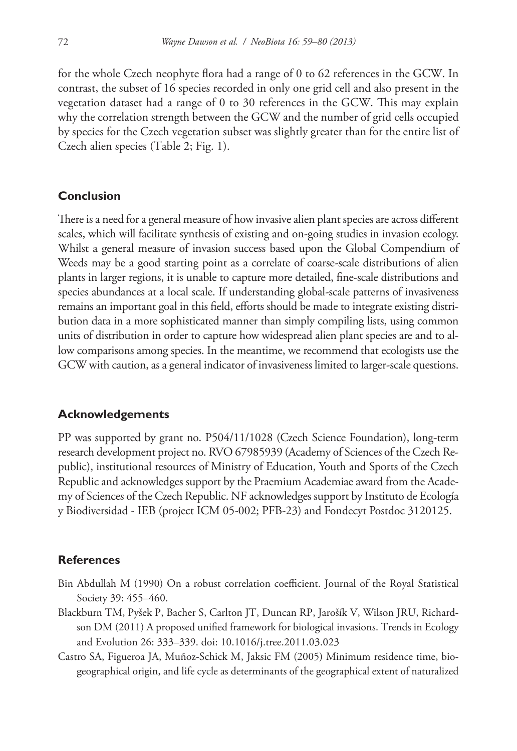for the whole Czech neophyte flora had a range of 0 to 62 references in the GCW. In contrast, the subset of 16 species recorded in only one grid cell and also present in the vegetation dataset had a range of 0 to 30 references in the GCW. This may explain why the correlation strength between the GCW and the number of grid cells occupied by species for the Czech vegetation subset was slightly greater than for the entire list of Czech alien species (Table 2; Fig. 1).

### **Conclusion**

There is a need for a general measure of how invasive alien plant species are across different scales, which will facilitate synthesis of existing and on-going studies in invasion ecology. Whilst a general measure of invasion success based upon the Global Compendium of Weeds may be a good starting point as a correlate of coarse-scale distributions of alien plants in larger regions, it is unable to capture more detailed, fine-scale distributions and species abundances at a local scale. If understanding global-scale patterns of invasiveness remains an important goal in this field, efforts should be made to integrate existing distribution data in a more sophisticated manner than simply compiling lists, using common units of distribution in order to capture how widespread alien plant species are and to allow comparisons among species. In the meantime, we recommend that ecologists use the GCW with caution, as a general indicator of invasiveness limited to larger-scale questions.

### **Acknowledgements**

PP was supported by grant no. P504/11/1028 (Czech Science Foundation), long-term research development project no. RVO 67985939 (Academy of Sciences of the Czech Republic), institutional resources of Ministry of Education, Youth and Sports of the Czech Republic and acknowledges support by the Praemium Academiae award from the Academy of Sciences of the Czech Republic. NF acknowledges support by Instituto de Ecología y Biodiversidad - IEB (project ICM 05-002; PFB-23) and Fondecyt Postdoc 3120125.

### **References**

- Bin Abdullah M (1990) On a robust correlation coefficient. Journal of the Royal Statistical Society 39: 455–460.
- Blackburn TM, Pyšek P, Bacher S, Carlton JT, Duncan RP, Jarošík V, Wilson JRU, Richardson DM (2011) A proposed unified framework for biological invasions. Trends in Ecology and Evolution 26: 333–339. [doi: 10.1016/j.tree.2011.03.023](http://dx.doi.org/10.1016/j.tree.2011.03.023)
- Castro SA, Figueroa JA, Muñoz-Schick M, Jaksic FM (2005) Minimum residence time, biogeographical origin, and life cycle as determinants of the geographical extent of naturalized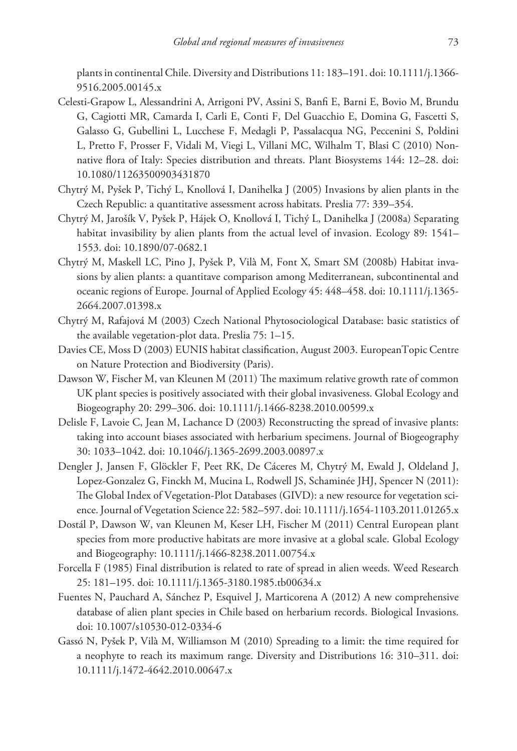plants in continental Chile. Diversity and Distributions 11: 183–191. [doi: 10.1111/j.1366-](http://dx.doi.org/10.1111/j.1366-9516.2005.00145.x) [9516.2005.00145.x](http://dx.doi.org/10.1111/j.1366-9516.2005.00145.x)

- Celesti-Grapow L, Alessandrini A, Arrigoni PV, Assini S, Banfi E, Barni E, Bovio M, Brundu G, Cagiotti MR, Camarda I, Carli E, Conti F, Del Guacchio E, Domina G, Fascetti S, Galasso G, Gubellini L, Lucchese F, Medagli P, Passalacqua NG, Peccenini S, Poldini L, Pretto F, Prosser F, Vidali M, Viegi L, Villani MC, Wilhalm T, Blasi C (2010) Nonnative flora of Italy: Species distribution and threats. Plant Biosystems 144: 12–28. [doi:](http://dx.doi.org/10.1080/11263500903431870) [10.1080/11263500903431870](http://dx.doi.org/10.1080/11263500903431870)
- Chytrý M, Pyšek P, Tichý L, Knollová I, Danihelka J (2005) Invasions by alien plants in the Czech Republic: a quantitative assessment across habitats. Preslia 77: 339–354.
- Chytrý M, Jarošík V, Pyšek P, Hájek O, Knollová I, Tichý L, Danihelka J (2008a) Separating habitat invasibility by alien plants from the actual level of invasion. Ecology 89: 1541– 1553. [doi: 10.1890/07-0682.1](http://dx.doi.org/10.1890/07-0682.1)
- Chytrý M, Maskell LC, Pino J, Pyšek P, Vilà M, Font X, Smart SM (2008b) Habitat invasions by alien plants: a quantitave comparison among Mediterranean, subcontinental and oceanic regions of Europe. Journal of Applied Ecology 45: 448–458. [doi: 10.1111/j.1365-](http://dx.doi.org/10.1111/j.1365-2664.2007.01398.x) [2664.2007.01398.x](http://dx.doi.org/10.1111/j.1365-2664.2007.01398.x)
- Chytrý M, Rafajová M (2003) Czech National Phytosociological Database: basic statistics of the available vegetation-plot data. Preslia 75: 1–15.
- Davies CE, Moss D (2003) EUNIS habitat classification, August 2003. EuropeanTopic Centre on Nature Protection and Biodiversity (Paris).
- Dawson W, Fischer M, van Kleunen M (2011) The maximum relative growth rate of common UK plant species is positively associated with their global invasiveness. Global Ecology and Biogeography 20: 299–306. [doi: 10.1111/j.1466-8238.2010.00599.x](http://dx.doi.org/10.1111/j.1466-8238.2010.00599.x)
- Delisle F, Lavoie C, Jean M, Lachance D (2003) Reconstructing the spread of invasive plants: taking into account biases associated with herbarium specimens. Journal of Biogeography 30: 1033–1042. [doi: 10.1046/j.1365-2699.2003.00897.x](http://dx.doi.org/10.1046/j.1365-2699.2003.00897.x)
- Dengler J, Jansen F, Glöckler F, Peet RK, De Cáceres M, Chytrý M, Ewald J, Oldeland J, Lopez-Gonzalez G, Finckh M, Mucina L, Rodwell JS, Schaminée JHJ, Spencer N (2011): The Global Index of Vegetation-Plot Databases (GIVD): a new resource for vegetation science. Journal of Vegetation Science 22: 582–597. [doi: 10.1111/j.1654-1103.2011.01265.x](http://dx.doi.org/10.1111/j.1654-1103.2011.01265.x)
- Dostál P, Dawson W, van Kleunen M, Keser LH, Fischer M (2011) Central European plant species from more productive habitats are more invasive at a global scale. Global Ecology and Biogeography: 10.1111/j.1466-8238.2011.00754.x
- Forcella F (1985) Final distribution is related to rate of spread in alien weeds. Weed Research 25: 181–195. [doi: 10.1111/j.1365-3180.1985.tb00634.x](http://dx.doi.org/10.1111/j.1365-3180.1985.tb00634.x)
- Fuentes N, Pauchard A, Sánchez P, Esquivel J, Marticorena A (2012) A new comprehensive database of alien plant species in Chile based on herbarium records. Biological Invasions. [doi: 10.1007/s10530-012-0334-6](http://dx.doi.org/10.1007/s10530-012-0334-6)
- Gassó N, Pyšek P, Vilà M, Williamson M (2010) Spreading to a limit: the time required for a neophyte to reach its maximum range. Diversity and Distributions 16: 310–311. [doi:](http://dx.doi.org/10.1111/j.1472-4642.2010.00647.x) [10.1111/j.1472-4642.2010.00647.x](http://dx.doi.org/10.1111/j.1472-4642.2010.00647.x)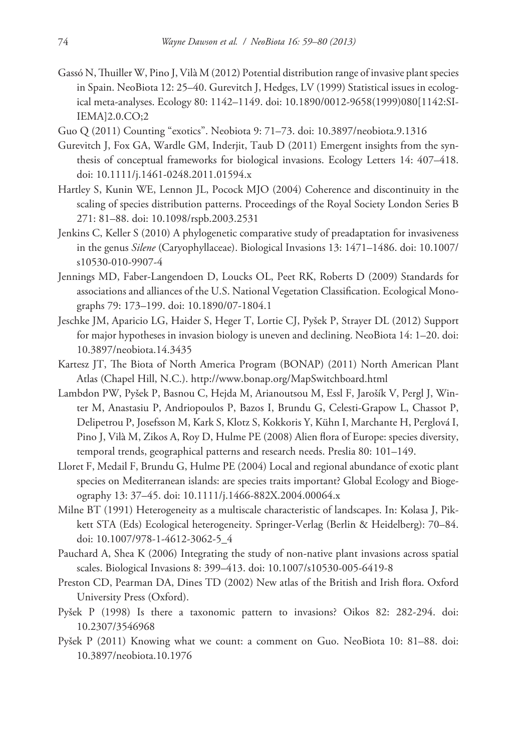- Gassó N, Thuiller W, Pino J, Vilà M (2012) Potential distribution range of invasive plant species in Spain. NeoBiota 12: 25–40. Gurevitch J, Hedges, LV (1999) Statistical issues in ecological meta-analyses. Ecology 80: 1142–1149. [doi: 10.1890/0012-9658\(1999\)080\[1142:SI-](http://dx.doi.org/10.1890/0012-9658(1999)080[1142:SIIEMA]2.0.CO;2)[IEMA\]2.0.CO;2](http://dx.doi.org/10.1890/0012-9658(1999)080[1142:SIIEMA]2.0.CO;2)
- Guo Q (2011) Counting "exotics". Neobiota 9: 71–73. [doi: 10.3897/neobiota.9.1316](http://dx.doi.org/10.3897/neobiota.9.1316)
- Gurevitch J, Fox GA, Wardle GM, Inderjit, Taub D (2011) Emergent insights from the synthesis of conceptual frameworks for biological invasions. Ecology Letters 14: 407–418. [doi: 10.1111/j.1461-0248.2011.01594.x](http://dx.doi.org/10.1111/j.1461-0248.2011.01594.x)
- Hartley S, Kunin WE, Lennon JL, Pocock MJO (2004) Coherence and discontinuity in the scaling of species distribution patterns. Proceedings of the Royal Society London Series B 271: 81–88. [doi: 10.1098/rspb.2003.2531](http://dx.doi.org/10.1098/rspb.2003.2531)
- Jenkins C, Keller S (2010) A phylogenetic comparative study of preadaptation for invasiveness in the genus *Silene* (Caryophyllaceae). Biological Invasions 13: 1471–1486. [doi: 10.1007/](http://dx.doi.org/10.1007/s10530-10-9907-4) [s10530-010-9907-4](http://dx.doi.org/10.1007/s10530-10-9907-4)
- Jennings MD, Faber-Langendoen D, Loucks OL, Peet RK, Roberts D (2009) Standards for associations and alliances of the U.S. National Vegetation Classification. Ecological Monographs 79: 173–199. [doi: 10.1890/07-1804.1](http://dx.doi.org/10.1890/07-1804.1)
- Jeschke JM, Aparicio LG, Haider S, Heger T, Lortie CJ, Pyšek P, Strayer DL (2012) Support for major hypotheses in invasion biology is uneven and declining. NeoBiota 14: 1–20. [doi:](http://dx.doi.org/10.3897/neobiota.14.3435) [10.3897/neobiota.14.3435](http://dx.doi.org/10.3897/neobiota.14.3435)
- Kartesz JT, The Biota of North America Program (BONAP) (2011) North American Plant Atlas (Chapel Hill, N.C.). <http://www.bonap.org/MapSwitchboard.html>
- Lambdon PW, Pyšek P, Basnou C, Hejda M, Arianoutsou M, Essl F, Jarošík V, Pergl J, Winter M, Anastasiu P, Andriopoulos P, Bazos I, Brundu G, Celesti-Grapow L, Chassot P, Delipetrou P, Josefsson M, Kark S, Klotz S, Kokkoris Y, Kühn I, Marchante H, Perglová I, Pino J, Vilà M, Zikos A, Roy D, Hulme PE (2008) Alien flora of Europe: species diversity, temporal trends, geographical patterns and research needs. Preslia 80: 101–149.
- Lloret F, Medail F, Brundu G, Hulme PE (2004) Local and regional abundance of exotic plant species on Mediterranean islands: are species traits important? Global Ecology and Biogeography 13: 37–45. [doi: 10.1111/j.1466-882X.2004.00064.x](http://dx.doi.org/10.1111/j.1466-882X.2004.00064.x)
- Milne BT (1991) Heterogeneity as a multiscale characteristic of landscapes. In: Kolasa J, Pickett STA (Eds) Ecological heterogeneity. Springer-Verlag (Berlin & Heidelberg): 70–84. [doi: 10.1007/978-1-4612-3062-5\\_4](http://dx.doi.org/10.1007/978-1-4612-3062-5_4)
- Pauchard A, Shea K (2006) Integrating the study of non-native plant invasions across spatial scales. Biological Invasions 8: 399–413. [doi: 10.1007/s10530-005-6419-8](http://dx.doi.org/10.1007/s10530-005-6419-8)
- Preston CD, Pearman DA, Dines TD (2002) New atlas of the British and Irish flora. Oxford University Press (Oxford).
- Pyšek P (1998) Is there a taxonomic pattern to invasions? Oikos 82: 282-294. [doi:](http://dx.doi.org/10.2307/3546968) [10.2307/3546968](http://dx.doi.org/10.2307/3546968)
- Pyšek P (2011) Knowing what we count: a comment on Guo. NeoBiota 10: 81–88. [doi:](http://dx.doi.org/10.3897/neobiota.10.1976) [10.3897/neobiota.10.1976](http://dx.doi.org/10.3897/neobiota.10.1976)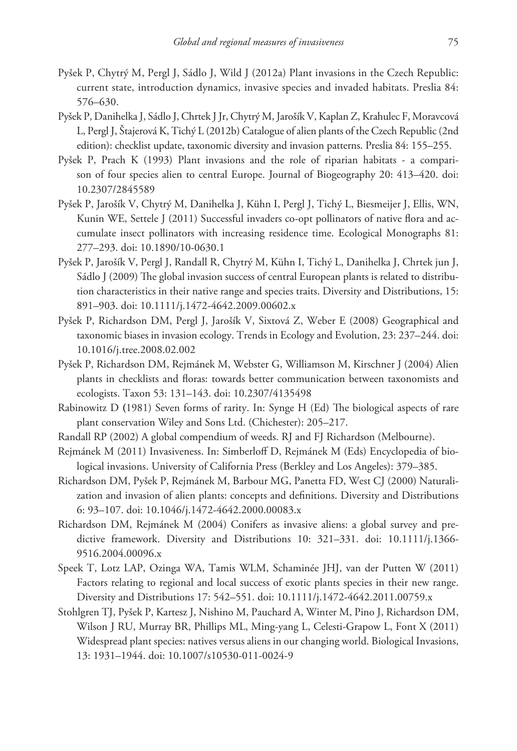- Pyšek P, Chytrý M, Pergl J, Sádlo J, Wild J (2012a) Plant invasions in the Czech Republic: current state, introduction dynamics, invasive species and invaded habitats. Preslia 84: 576–630.
- Pyšek P, Danihelka J, Sádlo J, Chrtek J Jr, Chytrý M, Jarošík V, Kaplan Z, Krahulec F, Moravcová L, Pergl J, Štajerová K, Tichý L (2012b) Catalogue of alien plants of the Czech Republic (2nd edition): checklist update, taxonomic diversity and invasion patterns. Preslia 84: 155–255.
- Pyšek P, Prach K (1993) Plant invasions and the role of riparian habitats a comparison of four species alien to central Europe. Journal of Biogeography 20: 413–420. [doi:](http://dx.doi.org/10.2307/2845589) [10.2307/2845589](http://dx.doi.org/10.2307/2845589)
- Pyšek P, Jarošík V, Chytrý M, Danihelka J, Kühn I, Pergl J, Tichý L, Biesmeijer J, Ellis, WN, Kunin WE, Settele J (2011) Successful invaders co-opt pollinators of native flora and accumulate insect pollinators with increasing residence time. Ecological Monographs 81: 277–293. [doi: 10.1890/10-0630.1](http://dx.doi.org/10.1890/10-0630.1)
- Pyšek P, Jarošík V, Pergl J, Randall R, Chytrý M, Kühn I, Tichý L, Danihelka J, Chrtek jun J, Sádlo J (2009) The global invasion success of central European plants is related to distribution characteristics in their native range and species traits. Diversity and Distributions, 15: 891–903. [doi: 10.1111/j.1472-4642.2009.00602.x](http://dx.doi.org/10.1111/j.1472-4642.2009.00602.x)
- Pyšek P, Richardson DM, Pergl J, Jarošík V, Sixtová Z, Weber E (2008) Geographical and taxonomic biases in invasion ecology. Trends in Ecology and Evolution, 23: 237–244. [doi:](http://dx.doi.org/10.1016/j.tree.2008.02.002) [10.1016/j.tree.2008.02.002](http://dx.doi.org/10.1016/j.tree.2008.02.002)
- Pyšek P, Richardson DM, Rejmánek M, Webster G, Williamson M, Kirschner J (2004) Alien plants in checklists and floras: towards better communication between taxonomists and ecologists. Taxon 53: 131–143. [doi: 10.2307/4135498](http://dx.doi.org/10.2307/4135498)
- Rabinowitz D **(**1981) Seven forms of rarity. In: Synge H (Ed) The biological aspects of rare plant conservation Wiley and Sons Ltd. (Chichester): 205–217.
- Randall RP (2002) A global compendium of weeds. RJ and FJ Richardson (Melbourne).
- Rejmánek M (2011) Invasiveness. In: Simberloff D, Rejmánek M (Eds) Encyclopedia of biological invasions. University of California Press (Berkley and Los Angeles): 379–385.
- Richardson DM, Pyšek P, Rejmánek M, Barbour MG, Panetta FD, West CJ (2000) Naturalization and invasion of alien plants: concepts and definitions. Diversity and Distributions 6: 93–107. [doi: 10.1046/j.1472-4642.2000.00083.x](http://dx.doi.org/10.1046/j.1472-4642.2000.00083.x)
- Richardson DM, Rejmánek M (2004) Conifers as invasive aliens: a global survey and predictive framework. Diversity and Distributions 10: 321–331. [doi: 10.1111/j.1366-](http://dx.doi.org/10.1111/j.1366-9516.2004.00096.x) [9516.2004.00096.x](http://dx.doi.org/10.1111/j.1366-9516.2004.00096.x)
- Speek T, Lotz LAP, Ozinga WA, Tamis WLM, Schaminée JHJ, van der Putten W (2011) Factors relating to regional and local success of exotic plants species in their new range. Diversity and Distributions 17: 542–551. [doi: 10.1111/j.1472-4642.2011.00759.x](http://dx.doi.org/10.1111/j.1472-4642.2011.00759.x)
- Stohlgren TJ, Pyšek P, Kartesz J, Nishino M, Pauchard A, Winter M, Pino J, Richardson DM, Wilson J RU, Murray BR, Phillips ML, Ming-yang L, Celesti-Grapow L, Font X (2011) Widespread plant species: natives versus aliens in our changing world. Biological Invasions, 13: 1931–1944. [doi: 10.1007/s10530-011-0024-9](http://dx.doi.org/10.1007/s10530-011-0024-9)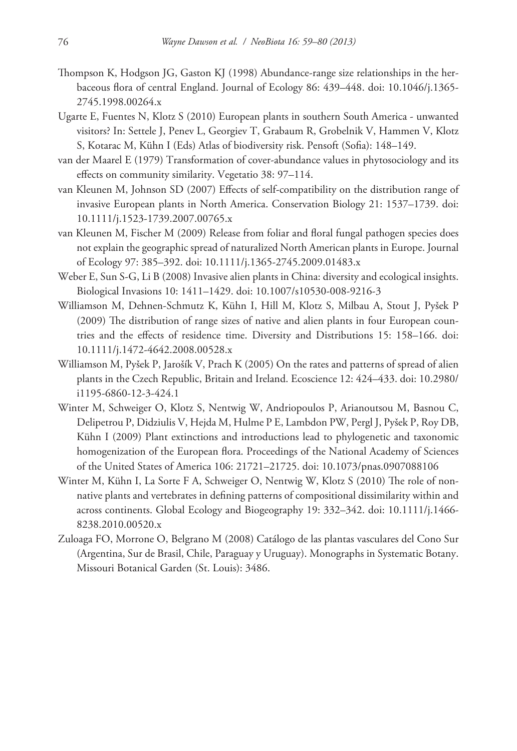- Thompson K, Hodgson JG, Gaston KJ (1998) Abundance-range size relationships in the herbaceous flora of central England. Journal of Ecology 86: 439–448. [doi: 10.1046/j.1365-](http://dx.doi.org/10.1046/j.1365-2745.1998.00264.x) [2745.1998.00264.x](http://dx.doi.org/10.1046/j.1365-2745.1998.00264.x)
- Ugarte E, Fuentes N, Klotz S (2010) European plants in southern South America unwanted visitors? In: Settele J, Penev L, Georgiev T, Grabaum R, Grobelnik V, Hammen V, Klotz S, Kotarac M, Kühn I (Eds) Atlas of biodiversity risk. Pensoft (Sofia): 148–149.
- van der Maarel E (1979) Transformation of cover-abundance values in phytosociology and its effects on community similarity. Vegetatio 38: 97–114.
- van Kleunen M, Johnson SD (2007) Effects of self-compatibility on the distribution range of invasive European plants in North America. Conservation Biology 21: 1537–1739. [doi:](http://dx.doi.org/10.1111/j.1523-1739.2007.00765.x) [10.1111/j.1523-1739.2007.00765.x](http://dx.doi.org/10.1111/j.1523-1739.2007.00765.x)
- van Kleunen M, Fischer M (2009) Release from foliar and floral fungal pathogen species does not explain the geographic spread of naturalized North American plants in Europe. Journal of Ecology 97: 385–392. [doi: 10.1111/j.1365-2745.2009.01483.x](http://dx.doi.org/10.1111/j.1365-2745.2009.01483.x)
- Weber E, Sun S-G, Li B (2008) Invasive alien plants in China: diversity and ecological insights. Biological Invasions 10: 1411–1429. [doi: 10.1007/s10530-008-9216-3](http://dx.doi.org/10.1007/s10530-008-9216-3)
- Williamson M, Dehnen-Schmutz K, Kühn I, Hill M, Klotz S, Milbau A, Stout J, Pyšek P (2009) The distribution of range sizes of native and alien plants in four European countries and the effects of residence time. Diversity and Distributions 15: 158–166. [doi:](http://dx.doi.org/10.1111/j.1472-4642.2008.00528.x) [10.1111/j.1472-4642.2008.00528.x](http://dx.doi.org/10.1111/j.1472-4642.2008.00528.x)
- Williamson M, Pyšek P, Jarošík V, Prach K (2005) On the rates and patterns of spread of alien plants in the Czech Republic, Britain and Ireland. Ecoscience 12: 424–433. [doi: 10.2980/](http://dx.doi.org/10.2980/i1195-6860-12-3-424.1) [i1195-6860-12-3-424](http://dx.doi.org/10.2980/i1195-6860-12-3-424.1).1
- Winter M, Schweiger O, Klotz S, Nentwig W, Andriopoulos P, Arianoutsou M, Basnou C, Delipetrou P, Didziulis V, Hejda M, Hulme P E, Lambdon PW, Pergl J, Pyšek P, Roy DB, Kühn I (2009) Plant extinctions and introductions lead to phylogenetic and taxonomic homogenization of the European flora. Proceedings of the National Academy of Sciences of the United States of America 106: 21721–21725. [doi: 10.1073/pnas.0907088106](http://dx.doi.org/10.1073/pnas.0907088106)
- Winter M, Kühn I, La Sorte F A, Schweiger O, Nentwig W, Klotz S (2010) The role of nonnative plants and vertebrates in defining patterns of compositional dissimilarity within and across continents. Global Ecology and Biogeography 19: 332–342. [doi: 10.1111/j.1466-](http://dx.doi.org/10.1111/j.1466-8238.2010.00520.x) [8238.2010.00520.x](http://dx.doi.org/10.1111/j.1466-8238.2010.00520.x)
- Zuloaga FO, Morrone O, Belgrano M (2008) Catálogo de las plantas vasculares del Cono Sur (Argentina, Sur de Brasil, Chile, Paraguay y Uruguay). Monographs in Systematic Botany. Missouri Botanical Garden (St. Louis): 3486.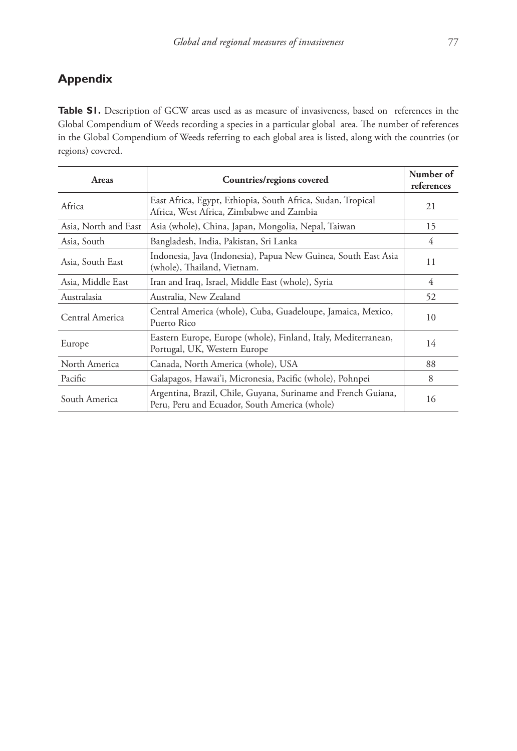## **Appendix**

Table S1. Description of GCW areas used as as measure of invasiveness, based on references in the Global Compendium of Weeds recording a species in a particular global area. The number of references in the Global Compendium of Weeds referring to each global area is listed, along with the countries (or regions) covered.

| Areas                | Countries/regions covered                                                                                      | Number of<br>references |
|----------------------|----------------------------------------------------------------------------------------------------------------|-------------------------|
| Africa               | East Africa, Egypt, Ethiopia, South Africa, Sudan, Tropical<br>Africa, West Africa, Zimbabwe and Zambia        | 21                      |
| Asia, North and East | Asia (whole), China, Japan, Mongolia, Nepal, Taiwan                                                            | 15                      |
| Asia, South          | Bangladesh, India, Pakistan, Sri Lanka                                                                         | 4                       |
| Asia, South East     | Indonesia, Java (Indonesia), Papua New Guinea, South East Asia<br>(whole), Thailand, Vietnam.                  | 11                      |
| Asia, Middle East    | Iran and Iraq, Israel, Middle East (whole), Syria                                                              | 4                       |
| Australasia          | Australia, New Zealand                                                                                         | 52                      |
| Central America      | Central America (whole), Cuba, Guadeloupe, Jamaica, Mexico,<br>Puerto Rico                                     | 10                      |
| Europe               | Eastern Europe, Europe (whole), Finland, Italy, Mediterranean,<br>Portugal, UK, Western Europe                 | 14                      |
| North America        | Canada, North America (whole), USA                                                                             | 88                      |
| Pacific              | Galapagos, Hawai'i, Micronesia, Pacific (whole), Pohnpei                                                       | 8                       |
| South America        | Argentina, Brazil, Chile, Guyana, Suriname and French Guiana,<br>Peru, Peru and Ecuador, South America (whole) | 16                      |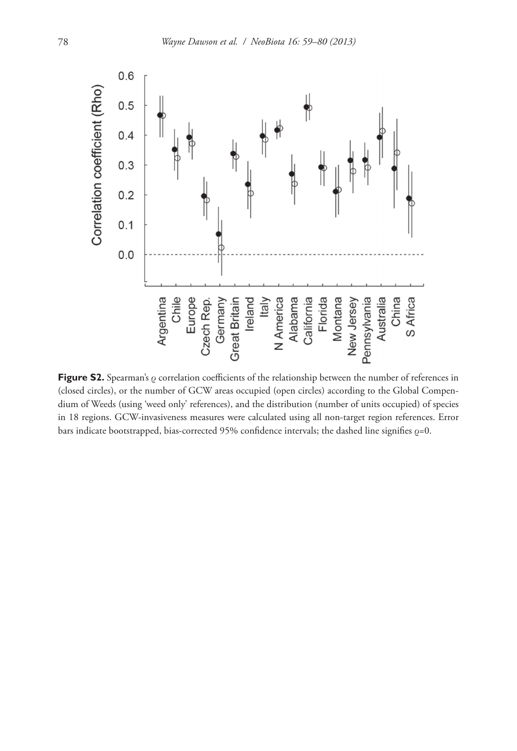

**Figure S2.** Spearman's ρ correlation coefficients of the relationship between the number of references in (closed circles), or the number of GCW areas occupied (open circles) according to the Global Compendium of Weeds (using 'weed only' references), and the distribution (number of units occupied) of species in 18 regions. GCW-invasiveness measures were calculated using all non-target region references. Error bars indicate bootstrapped, bias-corrected 95% confidence intervals; the dashed line signifies  $\rho$ =0.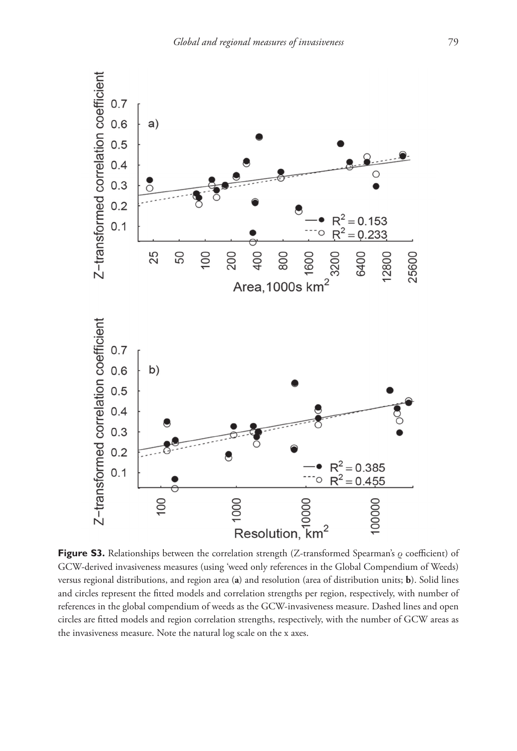

**Figure S3.** Relationships between the correlation strength (Z-transformed Spearman's ρ coefficient) of GCW-derived invasiveness measures (using 'weed only references in the Global Compendium of Weeds) versus regional distributions, and region area (**a**) and resolution (area of distribution units; **b**). Solid lines and circles represent the fitted models and correlation strengths per region, respectively, with number of references in the global compendium of weeds as the GCW-invasiveness measure. Dashed lines and open circles are fitted models and region correlation strengths, respectively, with the number of GCW areas as the invasiveness measure. Note the natural log scale on the x axes.